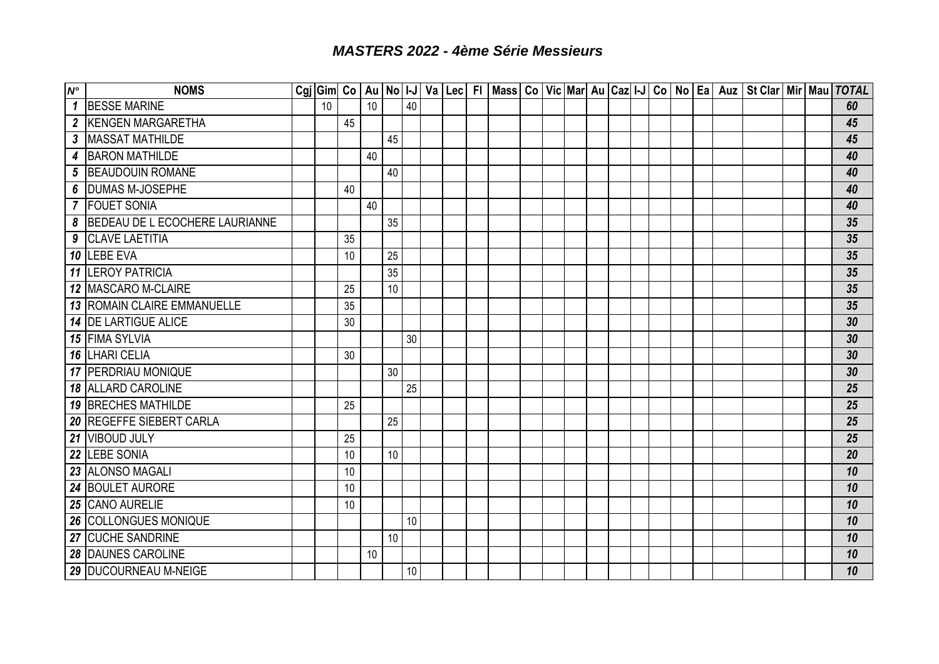## *MASTERS 2022 - 4ème Série Messieurs*

| $N^{\circ}$                | <b>NOMS</b>                    |    |    |    |    |                 |  |  |  |  |  |  |  | Cgi Gim  Co   Au   No   I-J   Va   Lec   FI   Mass   Co   Vic   Mar  Au   Caz  I-J   Co   No   Ea   Auz   St Clar   Mir   Mau   TOTAL |  |    |
|----------------------------|--------------------------------|----|----|----|----|-----------------|--|--|--|--|--|--|--|---------------------------------------------------------------------------------------------------------------------------------------|--|----|
| $\mathbf 1$                | <b>BESSE MARINE</b>            | 10 |    | 10 |    | 40              |  |  |  |  |  |  |  |                                                                                                                                       |  | 60 |
| $\boldsymbol{2}$           | <b>KENGEN MARGARETHA</b>       |    | 45 |    |    |                 |  |  |  |  |  |  |  |                                                                                                                                       |  | 45 |
| $\boldsymbol{\mathcal{S}}$ | <b>MASSAT MATHILDE</b>         |    |    |    | 45 |                 |  |  |  |  |  |  |  |                                                                                                                                       |  | 45 |
| 4                          | <b>BARON MATHILDE</b>          |    |    | 40 |    |                 |  |  |  |  |  |  |  |                                                                                                                                       |  | 40 |
| 5                          | <b>BEAUDOUIN ROMANE</b>        |    |    |    | 40 |                 |  |  |  |  |  |  |  |                                                                                                                                       |  | 40 |
| 6                          | <b>DUMAS M-JOSEPHE</b>         |    | 40 |    |    |                 |  |  |  |  |  |  |  |                                                                                                                                       |  | 40 |
|                            | 7 FOUET SONIA                  |    |    | 40 |    |                 |  |  |  |  |  |  |  |                                                                                                                                       |  | 40 |
| 8                          | BEDEAU DE L ECOCHERE LAURIANNE |    |    |    | 35 |                 |  |  |  |  |  |  |  |                                                                                                                                       |  | 35 |
| 9                          | <b>CLAVE LAETITIA</b>          |    | 35 |    |    |                 |  |  |  |  |  |  |  |                                                                                                                                       |  | 35 |
|                            | 10 LEBE EVA                    |    | 10 |    | 25 |                 |  |  |  |  |  |  |  |                                                                                                                                       |  | 35 |
|                            | 11 LEROY PATRICIA              |    |    |    | 35 |                 |  |  |  |  |  |  |  |                                                                                                                                       |  | 35 |
|                            | 12 MASCARO M-CLAIRE            |    | 25 |    | 10 |                 |  |  |  |  |  |  |  |                                                                                                                                       |  | 35 |
|                            | 13 ROMAIN CLAIRE EMMANUELLE    |    | 35 |    |    |                 |  |  |  |  |  |  |  |                                                                                                                                       |  | 35 |
|                            | <b>14 DE LARTIGUE ALICE</b>    |    | 30 |    |    |                 |  |  |  |  |  |  |  |                                                                                                                                       |  | 30 |
|                            | 15 FIMA SYLVIA                 |    |    |    |    | 30              |  |  |  |  |  |  |  |                                                                                                                                       |  | 30 |
|                            | 16 LHARI CELIA                 |    | 30 |    |    |                 |  |  |  |  |  |  |  |                                                                                                                                       |  | 30 |
|                            | <b>17 PERDRIAU MONIQUE</b>     |    |    |    | 30 |                 |  |  |  |  |  |  |  |                                                                                                                                       |  | 30 |
|                            | <b>18 ALLARD CAROLINE</b>      |    |    |    |    | 25              |  |  |  |  |  |  |  |                                                                                                                                       |  | 25 |
|                            | <b>19 BRECHES MATHILDE</b>     |    | 25 |    |    |                 |  |  |  |  |  |  |  |                                                                                                                                       |  | 25 |
| 20                         | <b>REGEFFE SIEBERT CARLA</b>   |    |    |    | 25 |                 |  |  |  |  |  |  |  |                                                                                                                                       |  | 25 |
|                            | 21 VIBOUD JULY                 |    | 25 |    |    |                 |  |  |  |  |  |  |  |                                                                                                                                       |  | 25 |
| 22                         | <b>LEBE SONIA</b>              |    | 10 |    | 10 |                 |  |  |  |  |  |  |  |                                                                                                                                       |  | 20 |
|                            | 23 ALONSO MAGALI               |    | 10 |    |    |                 |  |  |  |  |  |  |  |                                                                                                                                       |  | 10 |
|                            | 24 BOULET AURORE               |    | 10 |    |    |                 |  |  |  |  |  |  |  |                                                                                                                                       |  | 10 |
|                            | 25 CANO AURELIE                |    | 10 |    |    |                 |  |  |  |  |  |  |  |                                                                                                                                       |  | 10 |
| 26                         | <b>COLLONGUES MONIQUE</b>      |    |    |    |    | 10              |  |  |  |  |  |  |  |                                                                                                                                       |  | 10 |
| 27                         | <b>CUCHE SANDRINE</b>          |    |    |    | 10 |                 |  |  |  |  |  |  |  |                                                                                                                                       |  | 10 |
|                            | 28 DAUNES CAROLINE             |    |    | 10 |    |                 |  |  |  |  |  |  |  |                                                                                                                                       |  | 10 |
|                            | 29 DUCOURNEAU M-NEIGE          |    |    |    |    | 10 <sup>°</sup> |  |  |  |  |  |  |  |                                                                                                                                       |  | 10 |